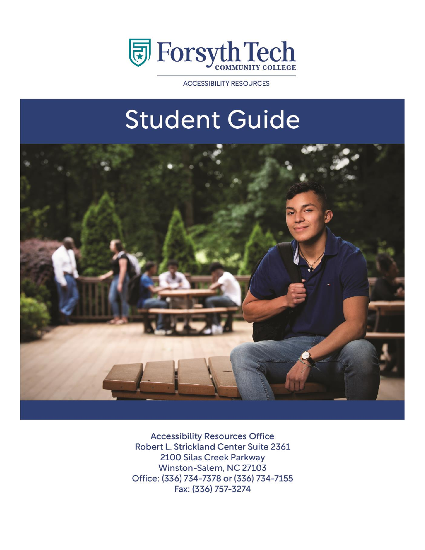

**ACCESSIBILITY RESOURCES** 

# **Student Guide**



**Accessibility Resources Office** Robert L. Strickland Center Suite 2361 2100 Silas Creek Parkway Winston-Salem, NC 27103 Office: (336) 734-7378 or (336) 734-7155 Fax: (336) 757-3274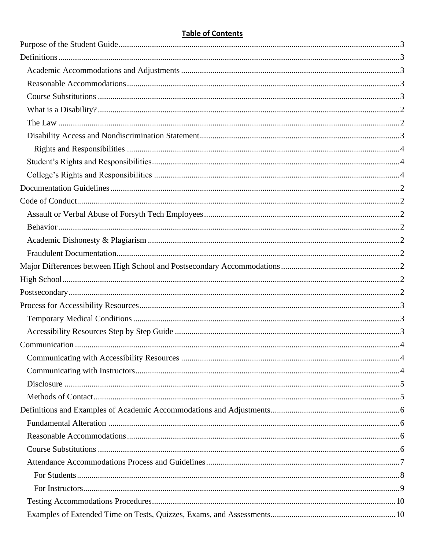#### **Table of Contents**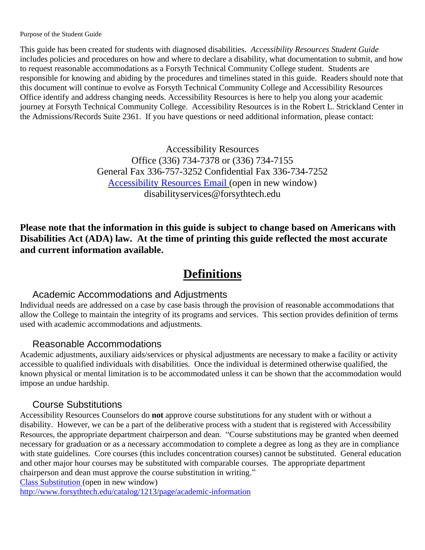<span id="page-3-0"></span>Purpose of the Student Guide

This guide has been created for students with diagnosed disabilities. *Accessibility Resources Student Guide*  includes policies and procedures on how and where to declare a disability, what documentation to submit, and how to request reasonable accommodations as a Forsyth Technical Community College student. Students are responsible for knowing and abiding by the procedures and timelines stated in this guide. Readers should note that this document will continue to evolve as Forsyth Technical Community College and Accessibility Resources Office identify and address changing needs. Accessibility Resources is here to help you along your academic journey at Forsyth Technical Community College. Accessibility Resources is in the Robert L. Strickland Center in the Admissions/Records Suite 2361. If you have questions or need additional information, please contact:

> Accessibility Resources Office (336) 734-7378 or (336) 734-7155 General Fax 336-757-3252 Confidential Fax 336-734-7252 [Accessibility Resources](mailto:disabilityservices@forsythtech.edu) Email (open in new window) disabilityservices@forsythtech.edu

**Please note that the information in this guide is subject to change based on Americans with Disabilities Act (ADA) law. At the time of printing this guide reflected the most accurate and current information available.**

# **Definitions**

#### <span id="page-3-1"></span>Academic Accommodations and Adjustments

<span id="page-3-2"></span>Individual needs are addressed on a case by case basis through the provision of reasonable accommodations that allow the College to maintain the integrity of its programs and services. This section provides definition of terms used with academic accommodations and adjustments.

#### Reasonable Accommodations

<span id="page-3-3"></span>Academic adjustments, auxiliary aids/services or physical adjustments are necessary to make a facility or activity accessible to qualified individuals with disabilities. Once the individual is determined otherwise qualified, the known physical or mental limitation is to be accommodated unless it can be shown that the accommodation would impose an undue hardship.

## Course Substitutions

<span id="page-3-4"></span>Accessibility Resources Counselors do **not** approve course substitutions for any student with or without a disability. However, we can be a part of the deliberative process with a student that is registered with Accessibility Resources, the appropriate department chairperson and dean. "Course substitutions may be granted when deemed necessary for graduation or as a necessary accommodation to complete a degree as long as they are in compliance with state guidelines. Core courses (this includes concentration courses) cannot be substituted. General education and other major hour courses may be substituted with comparable courses. The appropriate department chairperson and dean must approve the course substitution in writing."

[Class Substitution](http://www.forsythtech.edu/catalog/1212/page/academic-information) (open in new window)

<http://www.forsythtech.edu/catalog/1213/page/academic-information>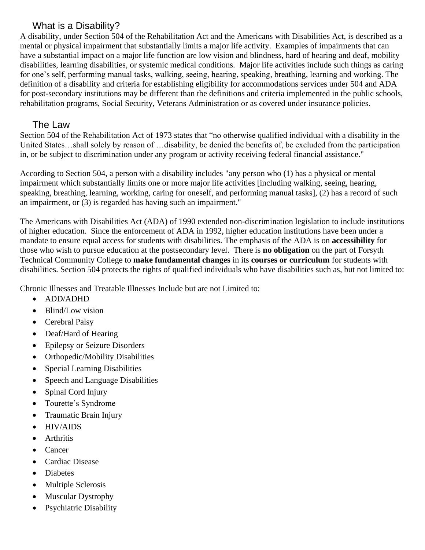#### What is a Disability?

<span id="page-4-0"></span>A disability, under Section 504 of the Rehabilitation Act and the Americans with Disabilities Act, is described as a mental or physical impairment that substantially limits a major life activity. Examples of impairments that can have a substantial impact on a major life function are low vision and blindness, hard of hearing and deaf, mobility disabilities, learning disabilities, or systemic medical conditions. Major life activities include such things as caring for one's self, performing manual tasks, walking, seeing, hearing, speaking, breathing, learning and working. The definition of a disability and criteria for establishing eligibility for accommodations services under 504 and ADA for post-secondary institutions may be different than the definitions and criteria implemented in the public schools, rehabilitation programs, Social Security, Veterans Administration or as covered under insurance policies.

#### The Law

<span id="page-4-1"></span>Section 504 of the Rehabilitation Act of 1973 states that "no otherwise qualified individual with a disability in the United States…shall solely by reason of …disability, be denied the benefits of, be excluded from the participation in, or be subject to discrimination under any program or activity receiving federal financial assistance."

According to Section 504, a person with a disability includes "any person who (1) has a physical or mental impairment which substantially limits one or more major life activities [including walking, seeing, hearing, speaking, breathing, learning, working, caring for oneself, and performing manual tasks], (2) has a record of such an impairment, or (3) is regarded has having such an impairment."

The Americans with Disabilities Act (ADA) of 1990 extended non-discrimination legislation to include institutions of higher education. Since the enforcement of ADA in 1992, higher education institutions have been under a mandate to ensure equal access for students with disabilities. The emphasis of the ADA is on **accessibility** for those who wish to pursue education at the postsecondary level. There is **no obligation** on the part of Forsyth Technical Community College to **make fundamental changes** in its **courses or curriculum** for students with disabilities. Section 504 protects the rights of qualified individuals who have disabilities such as, but not limited to:

Chronic Illnesses and Treatable Illnesses Include but are not Limited to:

- ADD/ADHD
- Blind/Low vision
- Cerebral Palsy
- Deaf/Hard of Hearing
- Epilepsy or Seizure Disorders
- Orthopedic/Mobility Disabilities
- Special Learning Disabilities
- Speech and Language Disabilities
- Spinal Cord Injury
- Tourette's Syndrome
- Traumatic Brain Injury
- HIV/AIDS
- Arthritis
- Cancer
- Cardiac Disease
- Diabetes
- Multiple Sclerosis
- Muscular Dystrophy
- Psychiatric Disability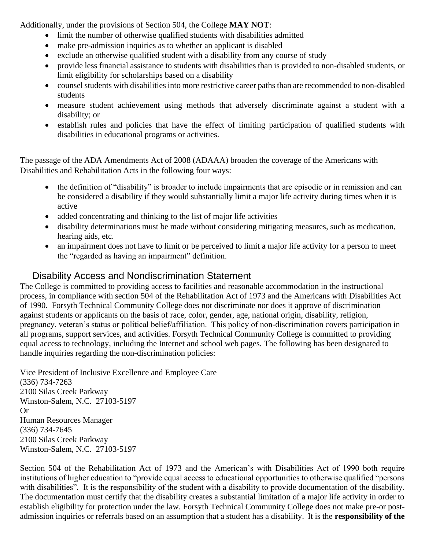Additionally, under the provisions of Section 504, the College **MAY NOT**:

- limit the number of otherwise qualified students with disabilities admitted
- make pre-admission inquiries as to whether an applicant is disabled
- exclude an otherwise qualified student with a disability from any course of study
- provide less financial assistance to students with disabilities than is provided to non-disabled students, or limit eligibility for scholarships based on a disability
- counsel students with disabilities into more restrictive career paths than are recommended to non-disabled students
- measure student achievement using methods that adversely discriminate against a student with a disability; or
- establish rules and policies that have the effect of limiting participation of qualified students with disabilities in educational programs or activities.

The passage of the ADA Amendments Act of 2008 (ADAAA) broaden the coverage of the Americans with Disabilities and Rehabilitation Acts in the following four ways:

- the definition of "disability" is broader to include impairments that are episodic or in remission and can be considered a disability if they would substantially limit a major life activity during times when it is active
- added concentrating and thinking to the list of major life activities
- disability determinations must be made without considering mitigating measures, such as medication, hearing aids, etc.
- an impairment does not have to limit or be perceived to limit a major life activity for a person to meet the "regarded as having an impairment" definition.

#### Disability Access and Nondiscrimination Statement

<span id="page-5-0"></span>The College is committed to providing access to facilities and reasonable accommodation in the instructional process, in compliance with section 504 of the Rehabilitation Act of 1973 and the Americans with Disabilities Act of 1990. Forsyth Technical Community College does not discriminate nor does it approve of discrimination against students or applicants on the basis of race, color, gender, age, national origin, disability, religion, pregnancy, veteran's status or political belief/affiliation. This policy of non-discrimination covers participation in all programs, support services, and activities. Forsyth Technical Community College is committed to providing equal access to technology, including the Internet and school web pages. The following has been designated to handle inquiries regarding the non-discrimination policies:

Vice President of Inclusive Excellence and Employee Care (336) 734-7263 2100 Silas Creek Parkway Winston-Salem, N.C. 27103-5197 Or Human Resources Manager (336) 734-7645 2100 Silas Creek Parkway Winston-Salem, N.C. 27103-5197

Section 504 of the Rehabilitation Act of 1973 and the American's with Disabilities Act of 1990 both require institutions of higher education to "provide equal access to educational opportunities to otherwise qualified "persons with disabilities". It is the responsibility of the student with a disability to provide documentation of the disability. The documentation must certify that the disability creates a substantial limitation of a major life activity in order to establish eligibility for protection under the law. Forsyth Technical Community College does not make pre-or postadmission inquiries or referrals based on an assumption that a student has a disability. It is the **responsibility of the**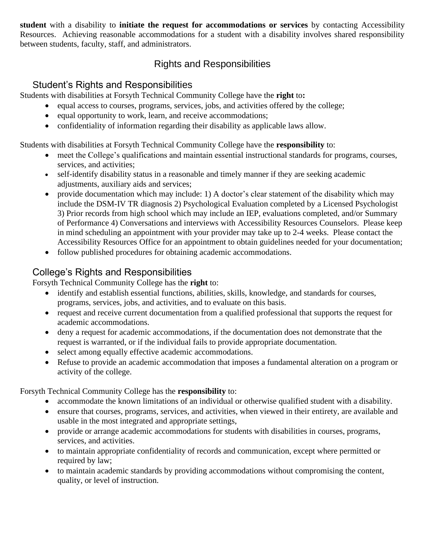**student** with a disability to **initiate the request for accommodations or services** by contacting Accessibility Resources. Achieving reasonable accommodations for a student with a disability involves shared responsibility between students, faculty, staff, and administrators.

## Rights and Responsibilities

# <span id="page-6-0"></span>Student's Rights and Responsibilities

<span id="page-6-1"></span>Students with disabilities at Forsyth Technical Community College have the **right** to**:**

- equal access to courses, programs, services, jobs, and activities offered by the college;
- equal opportunity to work, learn, and receive accommodations;
- confidentiality of information regarding their disability as applicable laws allow.

Students with disabilities at Forsyth Technical Community College have the **responsibility** to:

- meet the College's qualifications and maintain essential instructional standards for programs, courses, services, and activities;
- self-identify disability status in a reasonable and timely manner if they are seeking academic adjustments, auxiliary aids and services;
- provide documentation which may include: 1) A doctor's clear statement of the disability which may include the DSM-IV TR diagnosis 2) Psychological Evaluation completed by a Licensed Psychologist 3) Prior records from high school which may include an IEP, evaluations completed, and/or Summary of Performance 4) Conversations and interviews with Accessibility Resources Counselors. Please keep in mind scheduling an appointment with your provider may take up to 2-4 weeks. Please contact the Accessibility Resources Office for an appointment to obtain guidelines needed for your documentation;
- follow published procedures for obtaining academic accommodations.

# <span id="page-6-2"></span>College's Rights and Responsibilities

Forsyth Technical Community College has the **right** to:

- identify and establish essential functions, abilities, skills, knowledge, and standards for courses, programs, services, jobs, and activities, and to evaluate on this basis.
- request and receive current documentation from a qualified professional that supports the request for academic accommodations.
- deny a request for academic accommodations, if the documentation does not demonstrate that the request is warranted, or if the individual fails to provide appropriate documentation.
- select among equally effective academic accommodations.
- Refuse to provide an academic accommodation that imposes a fundamental alteration on a program or activity of the college.

#### Forsyth Technical Community College has the **responsibility** to:

- accommodate the known limitations of an individual or otherwise qualified student with a disability.
- ensure that courses, programs, services, and activities, when viewed in their entirety, are available and usable in the most integrated and appropriate settings,
- provide or arrange academic accommodations for students with disabilities in courses, programs, services, and activities.
- to maintain appropriate confidentiality of records and communication, except where permitted or required by law;
- to maintain academic standards by providing accommodations without compromising the content, quality, or level of instruction.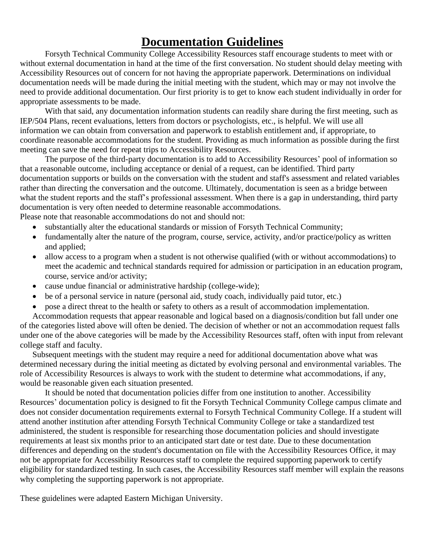# **Documentation Guidelines**

<span id="page-7-0"></span>Forsyth Technical Community College Accessibility Resources staff encourage students to meet with or without external documentation in hand at the time of the first conversation. No student should delay meeting with Accessibility Resources out of concern for not having the appropriate paperwork. Determinations on individual documentation needs will be made during the initial meeting with the student, which may or may not involve the need to provide additional documentation. Our first priority is to get to know each student individually in order for appropriate assessments to be made.

With that said, any documentation information students can readily share during the first meeting, such as IEP/504 Plans, recent evaluations, letters from doctors or psychologists, etc., is helpful. We will use all information we can obtain from conversation and paperwork to establish entitlement and, if appropriate, to coordinate reasonable accommodations for the student. Providing as much information as possible during the first meeting can save the need for repeat trips to Accessibility Resources.

The purpose of the third-party documentation is to add to Accessibility Resources' pool of information so that a reasonable outcome, including acceptance or denial of a request, can be identified. Third party documentation supports or builds on the conversation with the student and staff's assessment and related variables rather than directing the conversation and the outcome. Ultimately, documentation is seen as a bridge between what the student reports and the staff's professional assessment. When there is a gap in understanding, third party documentation is very often needed to determine reasonable accommodations. Please note that reasonable accommodations do not and should not:

substantially alter the educational standards or mission of Forsyth Technical Community;

- fundamentally alter the nature of the program, course, service, activity, and/or practice/policy as written and applied;
- allow access to a program when a student is not otherwise qualified (with or without accommodations) to meet the academic and technical standards required for admission or participation in an education program, course, service and/or activity;
- cause undue financial or administrative hardship (college-wide);
- be of a personal service in nature (personal aid, study coach, individually paid tutor, etc.)
- pose a direct threat to the health or safety to others as a result of accommodation implementation.

Accommodation requests that appear reasonable and logical based on a diagnosis/condition but fall under one of the categories listed above will often be denied. The decision of whether or not an accommodation request falls under one of the above categories will be made by the Accessibility Resources staff, often with input from relevant college staff and faculty.

Subsequent meetings with the student may require a need for additional documentation above what was determined necessary during the initial meeting as dictated by evolving personal and environmental variables. The role of Accessibility Resources is always to work with the student to determine what accommodations, if any, would be reasonable given each situation presented.

It should be noted that documentation policies differ from one institution to another. Accessibility Resources' documentation policy is designed to fit the Forsyth Technical Community College campus climate and does not consider documentation requirements external to Forsyth Technical Community College. If a student will attend another institution after attending Forsyth Technical Community College or take a standardized test administered, the student is responsible for researching those documentation policies and should investigate requirements at least six months prior to an anticipated start date or test date. Due to these documentation differences and depending on the student's documentation on file with the Accessibility Resources Office, it may not be appropriate for Accessibility Resources staff to complete the required supporting paperwork to certify eligibility for standardized testing. In such cases, the Accessibility Resources staff member will explain the reasons why completing the supporting paperwork is not appropriate.

These guidelines were adapted Eastern Michigan University.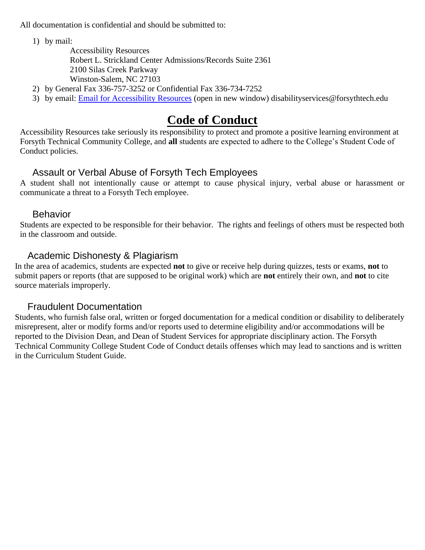All documentation is confidential and should be submitted to:

1) by mail:

Accessibility Resources Robert L. Strickland Center Admissions/Records Suite 2361 2100 Silas Creek Parkway Winston-Salem, NC 27103

- 2) by General Fax 336-757-3252 or Confidential Fax 336-734-7252
- 3) by email: [Email for Accessibility Resources](mailto:disabilityservices@forsythtech.edu) (open in new window) [disabilityservices@forsythtech.edu](file://///storage/StudentServices/DisabilitySvcs/Approved%20Forsyth%20Tech%20DSO%20Student%20Guide%20Posted%20on%20Web/Approved%20Student%20Guide%20as%20of%2003%2023%202015/disabilityservices@forsythtech.edu)

# **Code of Conduct**

<span id="page-8-0"></span>Accessibility Resources take seriously its responsibility to protect and promote a positive learning environment at Forsyth Technical Community College, and **all** students are expected to adhere to the College's Student Code of Conduct policies.

#### Assault or Verbal Abuse of Forsyth Tech Employees

<span id="page-8-1"></span>A student shall not intentionally cause or attempt to cause physical injury, verbal abuse or harassment or communicate a threat to a Forsyth Tech employee.

#### **Behavior**

<span id="page-8-2"></span>Students are expected to be responsible for their behavior. The rights and feelings of others must be respected both in the classroom and outside.

#### Academic Dishonesty & Plagiarism

<span id="page-8-3"></span>In the area of academics, students are expected **not** to give or receive help during quizzes, tests or exams, **not** to submit papers or reports (that are supposed to be original work) which are **not** entirely their own, and **not** to cite source materials improperly.

#### Fraudulent Documentation

<span id="page-8-4"></span>Students, who furnish false oral, written or forged documentation for a medical condition or disability to deliberately misrepresent, alter or modify forms and/or reports used to determine eligibility and/or accommodations will be reported to the Division Dean, and Dean of Student Services for appropriate disciplinary action. The Forsyth Technical Community College Student Code of Conduct details offenses which may lead to sanctions and is written in the Curriculum Student Guide.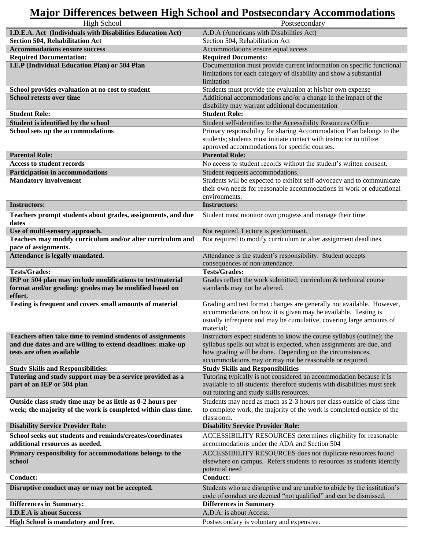# <span id="page-9-2"></span><span id="page-9-0"></span>**Major Differences between High School and Postsecondary Accommodations**

<span id="page-9-1"></span>

| <b>High School</b>                                                    | Postsecondary                                                                                                                                                                                |
|-----------------------------------------------------------------------|----------------------------------------------------------------------------------------------------------------------------------------------------------------------------------------------|
| I.D.E.A. Act (Individuals with Disabilities Education Act)            | A.D.A (Americans with Disabilities Act)                                                                                                                                                      |
| <b>Section 504, Rehabilitation Act</b>                                | Section 504, Rehabilitation Act                                                                                                                                                              |
| <b>Accommodations ensure success</b>                                  | Accommodations ensure equal access                                                                                                                                                           |
| <b>Required Documentation:</b>                                        | <b>Required Documents:</b>                                                                                                                                                                   |
| I.E.P (Individual Education Plan) or 504 Plan                         | Documentation must provide current information on specific functional<br>limitations for each category of disability and show a substantial<br>limitation                                    |
| School provides evaluation at no cost to student                      | Students must provide the evaluation at his/her own expense                                                                                                                                  |
| <b>School retests over time</b>                                       | Additional accommodations and/or a change in the impact of the<br>disability may warrant additional documentation                                                                            |
| <b>Student Role:</b>                                                  | <b>Student Role:</b>                                                                                                                                                                         |
| Student is identified by the school                                   | Student self-identifies to the Accessibility Resources Office                                                                                                                                |
| School sets up the accommodations                                     | Primary responsibility for sharing Accommodation Plan belongs to the<br>students; students must initiate contact with instructor to utilize<br>approved accommodations for specific courses. |
| <b>Parental Role:</b>                                                 | <b>Parental Role:</b>                                                                                                                                                                        |
| <b>Access to student records</b>                                      | No access to student records without the student's written consent.                                                                                                                          |
| <b>Participation in accommodations</b>                                | Student requests accommodations.                                                                                                                                                             |
| <b>Mandatory involvement</b>                                          | Students will be expected to exhibit self-advocacy and to communicate                                                                                                                        |
|                                                                       | their own needs for reasonable accommodations in work or educational                                                                                                                         |
|                                                                       | environments.                                                                                                                                                                                |
| <b>Instructors:</b>                                                   | <b>Instructors:</b>                                                                                                                                                                          |
| Teachers prompt students about grades, assignments, and due           | Student must monitor own progress and manage their time.                                                                                                                                     |
| dates                                                                 |                                                                                                                                                                                              |
| Use of multi-sensory approach.                                        | Not required. Lecture is predominant.                                                                                                                                                        |
| Teachers may modify curriculum and/or alter curriculum and            | Not required to modify curriculum or alter assignment deadlines.                                                                                                                             |
| pace of assignments.                                                  |                                                                                                                                                                                              |
| Attendance is legally mandated.                                       | Attendance is the student's responsibility. Student accepts                                                                                                                                  |
|                                                                       | consequences of non-attendance.                                                                                                                                                              |
| <b>Tests/Grades:</b>                                                  | <b>Tests/Grades:</b>                                                                                                                                                                         |
| IEP or 504 plan may include modifications to test/material            | Grades reflect the work submitted; curriculum & technical course                                                                                                                             |
| format and/or grading: grades may be modified based on                | standards may not be altered.                                                                                                                                                                |
| effort.                                                               |                                                                                                                                                                                              |
| Testing is frequent and covers small amounts of material              | Grading and test format changes are generally not available. However,                                                                                                                        |
|                                                                       | accommodations on how it is given may be available. Testing is                                                                                                                               |
|                                                                       | usually infrequent and may be cumulative, covering large amounts of                                                                                                                          |
|                                                                       | material;                                                                                                                                                                                    |
| Teachers often take time to remind students of assignments            | Instructors expect students to know the course syllabus (outline); the                                                                                                                       |
| and due dates and are willing to extend deadlines: make-up            | syllabus spells out what is expected, when assignments are due, and                                                                                                                          |
| tests are often available                                             | how grading will be done. Depending on the circumstances,                                                                                                                                    |
|                                                                       | accommodations may or may not be reasonable or required.                                                                                                                                     |
| <b>Study Skills and Responsibilities:</b>                             | <b>Study Skills and Responsibilities</b>                                                                                                                                                     |
| Tutoring and study support may be a service provided as a             | Tutoring typically is not considered an accommodation because it is                                                                                                                          |
| part of an IEP or 504 plan                                            | available to all students: therefore students with disabilities must seek<br>out tutoring and study skills resources.                                                                        |
| Outside class study time may be as little as 0-2 hours per            |                                                                                                                                                                                              |
| week; the majority of the work is completed within class time.        | Students may need as much as 2-3 hours per class outside of class time<br>to complete work; the majority of the work is completed outside of the                                             |
|                                                                       | classroom.                                                                                                                                                                                   |
| <b>Disability Service Provider Role:</b>                              | <b>Disability Service Provider Role:</b>                                                                                                                                                     |
| School seeks out students and reminds/creates/coordinates             | ACCESSIBILITY RESOURCES determines eligibility for reasonable                                                                                                                                |
| additional resources as needed.                                       |                                                                                                                                                                                              |
|                                                                       |                                                                                                                                                                                              |
|                                                                       | accommodations under the ADA and Section 504                                                                                                                                                 |
| Primary responsibility for accommodations belongs to the              | ACCESSIBILITY RESOURCES does not duplicate resources found                                                                                                                                   |
| school                                                                | elsewhere on campus. Refers students to resources as students identify                                                                                                                       |
|                                                                       | potential need                                                                                                                                                                               |
| <b>Conduct:</b>                                                       | <b>Conduct:</b>                                                                                                                                                                              |
| Disruptive conduct may or may not be accepted.                        | Students who are disruptive and are unable to abide by the institution's                                                                                                                     |
|                                                                       | code of conduct are deemed "not qualified" and can be dismissed.                                                                                                                             |
| <b>Differences in Summary:</b>                                        | <b>Differences in Summary</b>                                                                                                                                                                |
| <b>I.D.E.A</b> is about Success<br>High School is mandatory and free. | A.D.A. is about Access.<br>Postsecondary is voluntary and expensive.                                                                                                                         |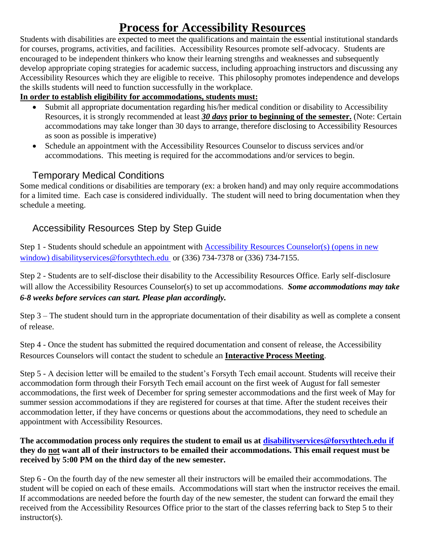# **Process for Accessibility Resources**

<span id="page-10-0"></span>Students with disabilities are expected to meet the qualifications and maintain the essential institutional standards for courses, programs, activities, and facilities. Accessibility Resources promote self-advocacy. Students are encouraged to be independent thinkers who know their learning strengths and weaknesses and subsequently develop appropriate coping strategies for academic success, including approaching instructors and discussing any Accessibility Resources which they are eligible to receive. This philosophy promotes independence and develops the skills students will need to function successfully in the workplace.

#### **In order to establish eligibility for accommodations, students must:**

- Submit all appropriate documentation regarding his/her medical condition or disability to Accessibility Resources, it is strongly recommended at least *30 days* **prior to beginning of the semester.** (Note: Certain accommodations may take longer than 30 days to arrange, therefore disclosing to Accessibility Resources as soon as possible is imperative)
- Schedule an appointment with the Accessibility Resources Counselor to discuss services and/or accommodations. This meeting is required for the accommodations and/or services to begin.

#### Temporary Medical Conditions

<span id="page-10-1"></span>Some medical conditions or disabilities are temporary (ex: a broken hand) and may only require accommodations for a limited time. Each case is considered individually. The student will need to bring documentation when they schedule a meeting.

# <span id="page-10-2"></span>Accessibility Resources Step by Step Guide

Step 1 - Students should schedule an appointment with [Accessibility Resources](mailto:disabilityservices@forsythtech.edu) Counselor(s) (opens in new window) [disabilityservices@forsythtech.edu](mailto:disabilityservices@forsythtech.edu) or (336) 734-7378 or (336) 734-7155.

Step 2 - Students are to self-disclose their disability to the Accessibility Resources Office. Early self-disclosure will allow the Accessibility Resources Counselor(s) to set up accommodations. *Some accommodations may take 6-8 weeks before services can start. Please plan accordingly.*

Step 3 – The student should turn in the appropriate documentation of their disability as well as complete a consent of release.

Step 4 - Once the student has submitted the required documentation and consent of release, the Accessibility Resources Counselors will contact the student to schedule an **Interactive Process Meeting**.

Step 5 - A decision letter will be emailed to the student's Forsyth Tech email account. Students will receive their accommodation form through their Forsyth Tech email account on the first week of August for fall semester accommodations, the first week of December for spring semester accommodations and the first week of May for summer session accommodations if they are registered for courses at that time. After the student receives their accommodation letter, if they have concerns or questions about the accommodations, they need to schedule an appointment with Accessibility Resources.

#### **The accommodation process only requires the student to email us at [disabilityservices@forsythtech.edu](mailto:disabilityservices@forsythtech.edu) if they do not want all of their instructors to be emailed their accommodations. This email request must be received by 5:00 PM on the third day of the new semester.**

Step 6 - On the fourth day of the new semester all their instructors will be emailed their accommodations. The student will be copied on each of these emails. Accommodations will start when the instructor receives the email. If accommodations are needed before the fourth day of the new semester, the student can forward the email they received from the Accessibility Resources Office prior to the start of the classes referring back to Step 5 to their instructor(s).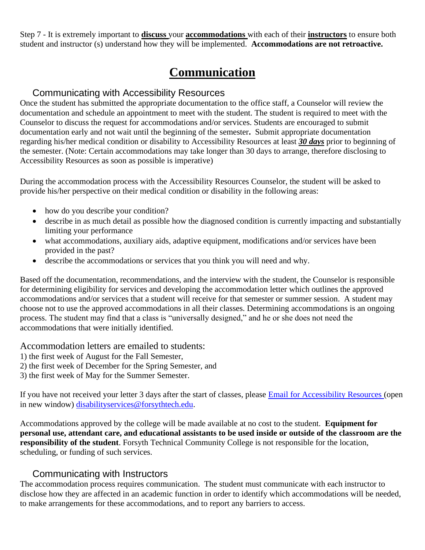Step 7 - It is extremely important to **discuss** your **accommodations** with each of their **instructors** to ensure both student and instructor (s) understand how they will be implemented. **Accommodations are not retroactive.**

# **Communication**

#### <span id="page-11-0"></span>Communicating with Accessibility Resources

<span id="page-11-1"></span>Once the student has submitted the appropriate documentation to the office staff, a Counselor will review the documentation and schedule an appointment to meet with the student. The student is required to meet with the Counselor to discuss the request for accommodations and/or services. Students are encouraged to submit documentation early and not wait until the beginning of the semester**.** Submit appropriate documentation regarding his/her medical condition or disability to Accessibility Resources at least *30 days* prior to beginning of the semester. (Note: Certain accommodations may take longer than 30 days to arrange, therefore disclosing to Accessibility Resources as soon as possible is imperative)

During the accommodation process with the Accessibility Resources Counselor, the student will be asked to provide his/her perspective on their medical condition or disability in the following areas:

- how do you describe your condition?
- describe in as much detail as possible how the diagnosed condition is currently impacting and substantially limiting your performance
- what accommodations, auxiliary aids, adaptive equipment, modifications and/or services have been provided in the past?
- describe the accommodations or services that you think you will need and why.

Based off the documentation, recommendations, and the interview with the student, the Counselor is responsible for determining eligibility for services and developing the accommodation letter which outlines the approved accommodations and/or services that a student will receive for that semester or summer session. A student may choose not to use the approved accommodations in all their classes. Determining accommodations is an ongoing process. The student may find that a class is "universally designed," and he or she does not need the accommodations that were initially identified.

Accommodation letters are emailed to students:

- 1) the first week of August for the Fall Semester,
- 2) the first week of December for the Spring Semester, and
- 3) the first week of May for the Summer Semester.

If you have not received your letter 3 days after the start of classes, please [Email for Accessibility Resources](mailto:disabilityservices@forsythtech.edu) (open in new window) [disabilityservices@forsythtech.edu.](mailto:disabilityservices@forsythtech.edu)

Accommodations approved by the college will be made available at no cost to the student. **Equipment for personal use, attendant care, and educational assistants to be used inside or outside of the classroom are the responsibility of the student**. Forsyth Technical Community College is not responsible for the location, scheduling, or funding of such services.

#### Communicating with Instructors

<span id="page-11-2"></span>The accommodation process requires communication. The student must communicate with each instructor to disclose how they are affected in an academic function in order to identify which accommodations will be needed, to make arrangements for these accommodations, and to report any barriers to access.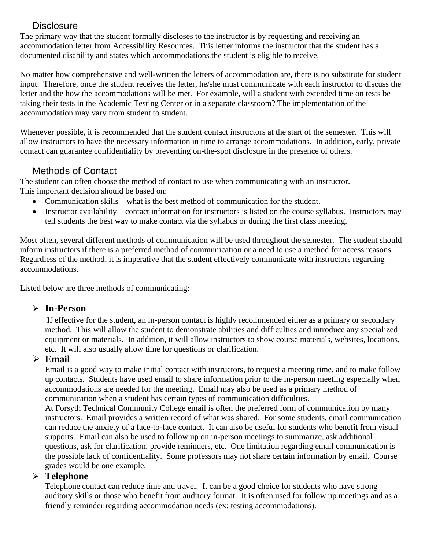#### **Disclosure**

<span id="page-12-0"></span>The primary way that the student formally discloses to the instructor is by requesting and receiving an accommodation letter from Accessibility Resources. This letter informs the instructor that the student has a documented disability and states which accommodations the student is eligible to receive.

No matter how comprehensive and well-written the letters of accommodation are, there is no substitute for student input. Therefore, once the student receives the letter, he/she must communicate with each instructor to discuss the letter and the how the accommodations will be met. For example, will a student with extended time on tests be taking their tests in the Academic Testing Center or in a separate classroom? The implementation of the accommodation may vary from student to student.

Whenever possible, it is recommended that the student contact instructors at the start of the semester. This will allow instructors to have the necessary information in time to arrange accommodations. In addition, early, private contact can guarantee confidentiality by preventing on-the-spot disclosure in the presence of others.

#### Methods of Contact

<span id="page-12-1"></span>The student can often choose the method of contact to use when communicating with an instructor. This important decision should be based on:

- Communication skills what is the best method of communication for the student.
- Instructor availability contact information for instructors is listed on the course syllabus. Instructors may tell students the best way to make contact via the syllabus or during the first class meeting.

Most often, several different methods of communication will be used throughout the semester. The student should inform instructors if there is a preferred method of communication or a need to use a method for access reasons. Regardless of the method, it is imperative that the student effectively communicate with instructors regarding accommodations.

Listed below are three methods of communicating:

#### ➢ **In-Person**

If effective for the student, an in-person contact is highly recommended either as a primary or secondary method. This will allow the student to demonstrate abilities and difficulties and introduce any specialized equipment or materials. In addition, it will allow instructors to show course materials, websites, locations, etc. It will also usually allow time for questions or clarification.

#### ➢ **Email**

Email is a good way to make initial contact with instructors, to request a meeting time, and to make follow up contacts. Students have used email to share information prior to the in-person meeting especially when accommodations are needed for the meeting. Email may also be used as a primary method of communication when a student has certain types of communication difficulties.

At Forsyth Technical Community College email is often the preferred form of communication by many instructors. Email provides a written record of what was shared. For some students, email communication can reduce the anxiety of a face-to-face contact. It can also be useful for students who benefit from visual supports. Email can also be used to follow up on in-person meetings to summarize, ask additional questions, ask for clarification, provide reminders, etc. One limitation regarding email communication is the possible lack of confidentiality. Some professors may not share certain information by email. Course grades would be one example.

#### ➢ **Telephone**

Telephone contact can reduce time and travel. It can be a good choice for students who have strong auditory skills or those who benefit from auditory format. It is often used for follow up meetings and as a friendly reminder regarding accommodation needs (ex: testing accommodations).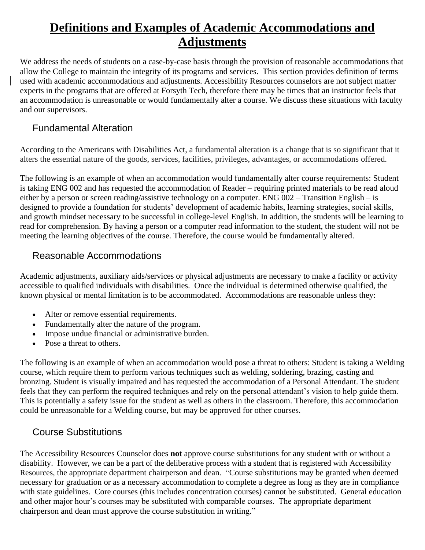# <span id="page-13-0"></span>**Definitions and Examples of Academic Accommodations and Adjustments**

We address the needs of students on a case-by-case basis through the provision of reasonable accommodations that allow the College to maintain the integrity of its programs and services. This section provides definition of terms used with academic accommodations and adjustments. Accessibility Resources counselors are not subject matter experts in the programs that are offered at Forsyth Tech, therefore there may be times that an instructor feels that an accommodation is unreasonable or would fundamentally alter a course. We discuss these situations with faculty and our supervisors.

#### <span id="page-13-1"></span>Fundamental Alteration

According to the Americans with Disabilities Act, a fundamental alteration is a change that is so significant that it alters the essential nature of the goods, services, facilities, privileges, advantages, or accommodations offered.

The following is an example of when an accommodation would fundamentally alter course requirements: Student is taking ENG 002 and has requested the accommodation of Reader – requiring printed materials to be read aloud either by a person or screen reading/assistive technology on a computer. ENG 002 – Transition English – is designed to provide a foundation for students' development of academic habits, learning strategies, social skills, and growth mindset necessary to be successful in college-level English. In addition, the students will be learning to read for comprehension. By having a person or a computer read information to the student, the student will not be meeting the learning objectives of the course. Therefore, the course would be fundamentally altered.

#### <span id="page-13-2"></span>Reasonable Accommodations

Academic adjustments, auxiliary aids/services or physical adjustments are necessary to make a facility or activity accessible to qualified individuals with disabilities. Once the individual is determined otherwise qualified, the known physical or mental limitation is to be accommodated. Accommodations are reasonable unless they:

- Alter or remove essential requirements.
- Fundamentally alter the nature of the program.
- Impose undue financial or administrative burden.
- Pose a threat to others.

The following is an example of when an accommodation would pose a threat to others: Student is taking a Welding course, which require them to perform various techniques such as welding, soldering, brazing, casting and bronzing. Student is visually impaired and has requested the accommodation of a Personal Attendant. The student feels that they can perform the required techniques and rely on the personal attendant's vision to help guide them. This is potentially a safety issue for the student as well as others in the classroom. Therefore, this accommodation could be unreasonable for a Welding course, but may be approved for other courses.

#### <span id="page-13-3"></span>Course Substitutions

The Accessibility Resources Counselor does **not** approve course substitutions for any student with or without a disability. However, we can be a part of the deliberative process with a student that is registered with Accessibility Resources, the appropriate department chairperson and dean. "Course substitutions may be granted when deemed necessary for graduation or as a necessary accommodation to complete a degree as long as they are in compliance with state guidelines. Core courses (this includes concentration courses) cannot be substituted. General education and other major hour's courses may be substituted with comparable courses. The appropriate department chairperson and dean must approve the course substitution in writing."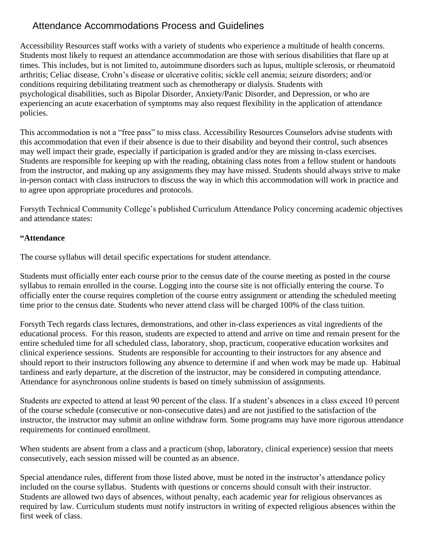## <span id="page-14-0"></span>Attendance Accommodations Process and Guidelines

Accessibility Resources staff works with a variety of students who experience a multitude of health concerns. Students most likely to request an attendance accommodation are those with serious disabilities that flare up at times. This includes, but is not limited to, autoimmune disorders such as lupus, multiple sclerosis, or rheumatoid arthritis; Celiac disease, Crohn's disease or ulcerative colitis; sickle cell anemia; seizure disorders; and/or conditions requiring debilitating treatment such as chemotherapy or dialysis. Students with psychological disabilities, such as Bipolar Disorder, Anxiety/Panic Disorder, and Depression, or who are experiencing an acute exacerbation of symptoms may also request flexibility in the application of attendance policies.

This accommodation is not a "free pass" to miss class. Accessibility Resources Counselors advise students with this accommodation that even if their absence is due to their disability and beyond their control, such absences may well impact their grade, especially if participation is graded and/or they are missing in-class exercises. Students are responsible for keeping up with the reading, obtaining class notes from a fellow student or handouts from the instructor, and making up any assignments they may have missed. Students should always strive to make in-person contact with class instructors to discuss the way in which this accommodation will work in practice and to agree upon appropriate procedures and protocols.

Forsyth Technical Community College's published Curriculum Attendance Policy concerning academic objectives and attendance states:

#### **"Attendance**

The course syllabus will detail specific expectations for student attendance.

Students must officially enter each course prior to the census date of the course meeting as posted in the course syllabus to remain enrolled in the course. Logging into the course site is not officially entering the course. To officially enter the course requires completion of the course entry assignment or attending the scheduled meeting time prior to the census date. Students who never attend class will be charged 100% of the class tuition.

Forsyth Tech regards class lectures, demonstrations, and other in-class experiences as vital ingredients of the educational process. For this reason, students are expected to attend and arrive on time and remain present for the entire scheduled time for all scheduled class, laboratory, shop, practicum, cooperative education worksites and clinical experience sessions. Students are responsible for accounting to their instructors for any absence and should report to their instructors following any absence to determine if and when work may be made up. Habitual tardiness and early departure, at the discretion of the instructor, may be considered in computing attendance. Attendance for asynchronous online students is based on timely submission of assignments.

Students are expected to attend at least 90 percent of the class. If a student's absences in a class exceed 10 percent of the course schedule (consecutive or non-consecutive dates) and are not justified to the satisfaction of the instructor, the instructor may submit an online withdraw form. Some programs may have more rigorous attendance requirements for continued enrollment.

When students are absent from a class and a practicum (shop, laboratory, clinical experience) session that meets consecutively, each session missed will be counted as an absence.

Special attendance rules, different from those listed above, must be noted in the instructor's attendance policy included on the course syllabus. Students with questions or concerns should consult with their instructor. Students are allowed two days of absences, without penalty, each academic year for religious observances as required by law. Curriculum students must notify instructors in writing of expected religious absences within the first week of class.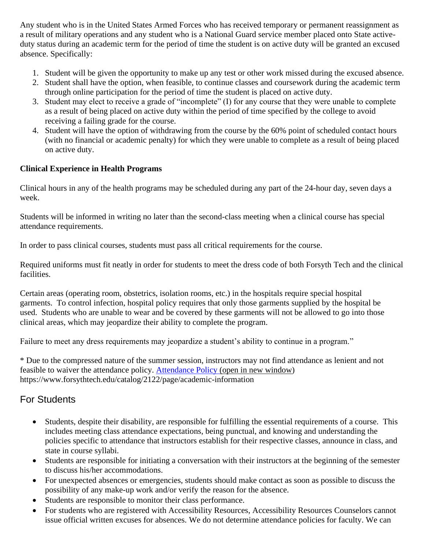Any student who is in the United States Armed Forces who has received temporary or permanent reassignment as a result of military operations and any student who is a National Guard service member placed onto State activeduty status during an academic term for the period of time the student is on active duty will be granted an excused absence. Specifically:

- 1. Student will be given the opportunity to make up any test or other work missed during the excused absence.
- 2. Student shall have the option, when feasible, to continue classes and coursework during the academic term through online participation for the period of time the student is placed on active duty.
- 3. Student may elect to receive a grade of "incomplete" (I) for any course that they were unable to complete as a result of being placed on active duty within the period of time specified by the college to avoid receiving a failing grade for the course.
- 4. Student will have the option of withdrawing from the course by the 60% point of scheduled contact hours (with no financial or academic penalty) for which they were unable to complete as a result of being placed on active duty.

#### **Clinical Experience in Health Programs**

Clinical hours in any of the health programs may be scheduled during any part of the 24-hour day, seven days a week.

Students will be informed in writing no later than the second-class meeting when a clinical course has special attendance requirements.

In order to pass clinical courses, students must pass all critical requirements for the course.

Required uniforms must fit neatly in order for students to meet the dress code of both Forsyth Tech and the clinical facilities.

Certain areas (operating room, obstetrics, isolation rooms, etc.) in the hospitals require special hospital garments. To control infection, hospital policy requires that only those garments supplied by the hospital be used. Students who are unable to wear and be covered by these garments will not be allowed to go into those clinical areas, which may jeopardize their ability to complete the program.

Failure to meet any dress requirements may jeopardize a student's ability to continue in a program."

\* Due to the compressed nature of the summer session, instructors may not find attendance as lenient and not feasible to waiver the attendance policy. [Attendance Policy](https://www.forsythtech.edu/catalog/2122/page/academic-information) (open in new window) https://www.forsythtech.edu/catalog/2122/page/academic-information

## <span id="page-15-0"></span>For Students

- Students, despite their disability, are responsible for fulfilling the essential requirements of a course. This includes meeting class attendance expectations, being punctual, and knowing and understanding the policies specific to attendance that instructors establish for their respective classes, announce in class, and state in course syllabi.
- Students are responsible for initiating a conversation with their instructors at the beginning of the semester to discuss his/her accommodations.
- For unexpected absences or emergencies, students should make contact as soon as possible to discuss the possibility of any make-up work and/or verify the reason for the absence.
- Students are responsible to monitor their class performance.
- For students who are registered with Accessibility Resources, Accessibility Resources Counselors cannot issue official written excuses for absences. We do not determine attendance policies for faculty. We can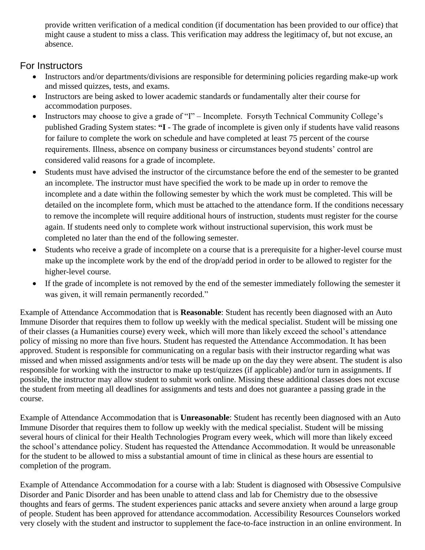provide written verification of a medical condition (if documentation has been provided to our office) that might cause a student to miss a class. This verification may address the legitimacy of, but not excuse, an absence.

#### <span id="page-16-0"></span>For Instructors

- Instructors and/or departments/divisions are responsible for determining policies regarding make-up work and missed quizzes, tests, and exams.
- Instructors are being asked to lower academic standards or fundamentally alter their course for accommodation purposes.
- Instructors may choose to give a grade of "I" Incomplete. Forsyth Technical Community College's published Grading System states: **"I** - The grade of incomplete is given only if students have valid reasons for failure to complete the work on schedule and have completed at least 75 percent of the course requirements. Illness, absence on company business or circumstances beyond students' control are considered valid reasons for a grade of incomplete.
- Students must have advised the instructor of the circumstance before the end of the semester to be granted an incomplete. The instructor must have specified the work to be made up in order to remove the incomplete and a date within the following semester by which the work must be completed. This will be detailed on the incomplete form, which must be attached to the attendance form. If the conditions necessary to remove the incomplete will require additional hours of instruction, students must register for the course again. If students need only to complete work without instructional supervision, this work must be completed no later than the end of the following semester.
- Students who receive a grade of incomplete on a course that is a prerequisite for a higher-level course must make up the incomplete work by the end of the drop/add period in order to be allowed to register for the higher-level course.
- If the grade of incomplete is not removed by the end of the semester immediately following the semester it was given, it will remain permanently recorded."

Example of Attendance Accommodation that is **Reasonable**: Student has recently been diagnosed with an Auto Immune Disorder that requires them to follow up weekly with the medical specialist. Student will be missing one of their classes (a Humanities course) every week, which will more than likely exceed the school's attendance policy of missing no more than five hours. Student has requested the Attendance Accommodation. It has been approved. Student is responsible for communicating on a regular basis with their instructor regarding what was missed and when missed assignments and/or tests will be made up on the day they were absent. The student is also responsible for working with the instructor to make up test/quizzes (if applicable) and/or turn in assignments. If possible, the instructor may allow student to submit work online. Missing these additional classes does not excuse the student from meeting all deadlines for assignments and tests and does not guarantee a passing grade in the course.

Example of Attendance Accommodation that is **Unreasonable**: Student has recently been diagnosed with an Auto Immune Disorder that requires them to follow up weekly with the medical specialist. Student will be missing several hours of clinical for their Health Technologies Program every week, which will more than likely exceed the school's attendance policy. Student has requested the Attendance Accommodation. It would be unreasonable for the student to be allowed to miss a substantial amount of time in clinical as these hours are essential to completion of the program.

Example of Attendance Accommodation for a course with a lab: Student is diagnosed with Obsessive Compulsive Disorder and Panic Disorder and has been unable to attend class and lab for Chemistry due to the obsessive thoughts and fears of germs. The student experiences panic attacks and severe anxiety when around a large group of people. Student has been approved for attendance accommodation. Accessibility Resources Counselors worked very closely with the student and instructor to supplement the face-to-face instruction in an online environment. In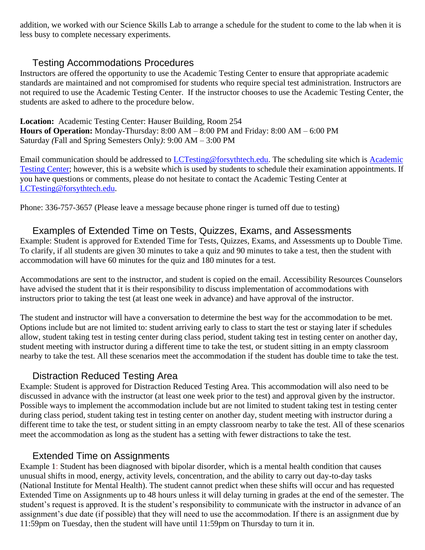addition, we worked with our Science Skills Lab to arrange a schedule for the student to come to the lab when it is less busy to complete necessary experiments.

#### Testing Accommodations Procedures

<span id="page-17-0"></span>Instructors are offered the opportunity to use the Academic Testing Center to ensure that appropriate academic standards are maintained and not compromised for students who require special test administration. Instructors are not required to use the Academic Testing Center. If the instructor chooses to use the Academic Testing Center, the students are asked to adhere to the procedure below.

**Location:** Academic Testing Center: Hauser Building, Room 254 **Hours of Operation:** Monday-Thursday: 8:00 AM – 8:00 PM and Friday: 8:00 AM – 6:00 PM Saturday *(*Fall and Spring Semesters Only*)*: 9:00 AM – 3:00 PM

Email communication should be addressed to **LCTesting@forsythtech.edu**. The scheduling site which is **Academic** [Testing Center;](http://academictestingcenter.fullslate.com/) however, this is a website which is used by students to schedule their examination appointments. If you have questions or comments, please do not hesitate to contact the Academic Testing Center at [LCTesting@forsythtech.edu.](mailto:LCTesting@forsythtech.edu)

Phone: 336-757-3657 (Please leave a message because phone ringer is turned off due to testing)

#### <span id="page-17-1"></span>Examples of Extended Time on Tests, Quizzes, Exams, and Assessments

Example: Student is approved for Extended Time for Tests, Quizzes, Exams, and Assessments up to Double Time. To clarify, if all students are given 30 minutes to take a quiz and 90 minutes to take a test, then the student with accommodation will have 60 minutes for the quiz and 180 minutes for a test.

Accommodations are sent to the instructor, and student is copied on the email. Accessibility Resources Counselors have advised the student that it is their responsibility to discuss implementation of accommodations with instructors prior to taking the test (at least one week in advance) and have approval of the instructor.

The student and instructor will have a conversation to determine the best way for the accommodation to be met. Options include but are not limited to: student arriving early to class to start the test or staying later if schedules allow, student taking test in testing center during class period, student taking test in testing center on another day, student meeting with instructor during a different time to take the test, or student sitting in an empty classroom nearby to take the test. All these scenarios meet the accommodation if the student has double time to take the test.

#### Distraction Reduced Testing Area

<span id="page-17-2"></span>Example: Student is approved for Distraction Reduced Testing Area. This accommodation will also need to be discussed in advance with the instructor (at least one week prior to the test) and approval given by the instructor. Possible ways to implement the accommodation include but are not limited to student taking test in testing center during class period, student taking test in testing center on another day, student meeting with instructor during a different time to take the test, or student sitting in an empty classroom nearby to take the test. All of these scenarios meet the accommodation as long as the student has a setting with fewer distractions to take the test.

#### Extended Time on Assignments

<span id="page-17-3"></span>Example 1: Student has been diagnosed with bipolar disorder, which is a mental health condition that causes unusual shifts in mood, energy, activity levels, concentration, and the ability to carry out day-to-day tasks (National Institute for Mental Health). The student cannot predict when these shifts will occur and has requested Extended Time on Assignments up to 48 hours unless it will delay turning in grades at the end of the semester. The student's request is approved. It is the student's responsibility to communicate with the instructor in advance of an assignment's due date (if possible) that they will need to use the accommodation. If there is an assignment due by 11:59pm on Tuesday, then the student will have until 11:59pm on Thursday to turn it in.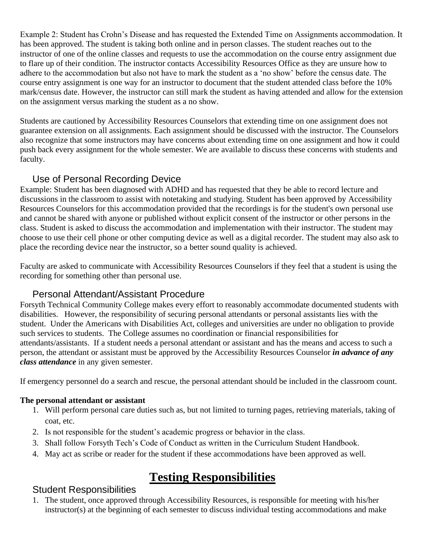Example 2: Student has Crohn's Disease and has requested the Extended Time on Assignments accommodation. It has been approved. The student is taking both online and in person classes. The student reaches out to the instructor of one of the online classes and requests to use the accommodation on the course entry assignment due to flare up of their condition. The instructor contacts Accessibility Resources Office as they are unsure how to adhere to the accommodation but also not have to mark the student as a 'no show' before the census date. The course entry assignment is one way for an instructor to document that the student attended class before the 10% mark/census date. However, the instructor can still mark the student as having attended and allow for the extension on the assignment versus marking the student as a no show.

Students are cautioned by Accessibility Resources Counselors that extending time on one assignment does not guarantee extension on all assignments. Each assignment should be discussed with the instructor. The Counselors also recognize that some instructors may have concerns about extending time on one assignment and how it could push back every assignment for the whole semester. We are available to discuss these concerns with students and faculty.

#### Use of Personal Recording Device

<span id="page-18-0"></span>Example: Student has been diagnosed with ADHD and has requested that they be able to record lecture and discussions in the classroom to assist with notetaking and studying. Student has been approved by Accessibility Resources Counselors for this accommodation provided that the recordings is for the student's own personal use and cannot be shared with anyone or published without explicit consent of the instructor or other persons in the class. Student is asked to discuss the accommodation and implementation with their instructor. The student may choose to use their cell phone or other computing device as well as a digital recorder. The student may also ask to place the recording device near the instructor, so a better sound quality is achieved.

Faculty are asked to communicate with Accessibility Resources Counselors if they feel that a student is using the recording for something other than personal use.

#### Personal Attendant/Assistant Procedure

<span id="page-18-1"></span>Forsyth Technical Community College makes every effort to reasonably accommodate documented students with disabilities. However, the responsibility of securing personal attendants or personal assistants lies with the student. Under the Americans with Disabilities Act, colleges and universities are under no obligation to provide such services to students. The College assumes no coordination or financial responsibilities for attendants/assistants. If a student needs a personal attendant or assistant and has the means and access to such a person, the attendant or assistant must be approved by the Accessibility Resources Counselor *in advance of any class attendance* in any given semester.

If emergency personnel do a search and rescue, the personal attendant should be included in the classroom count.

#### **The personal attendant or assistant**

- 1. Will perform personal care duties such as, but not limited to turning pages, retrieving materials, taking of coat, etc.
- 2. Is not responsible for the student's academic progress or behavior in the class.
- 3. Shall follow Forsyth Tech's Code of Conduct as written in the Curriculum Student Handbook.
- 4. May act as scribe or reader for the student if these accommodations have been approved as well.

# **Testing Responsibilities**

#### <span id="page-18-3"></span><span id="page-18-2"></span>Student Responsibilities

1. The student, once approved through Accessibility Resources, is responsible for meeting with his/her instructor(s) at the beginning of each semester to discuss individual testing accommodations and make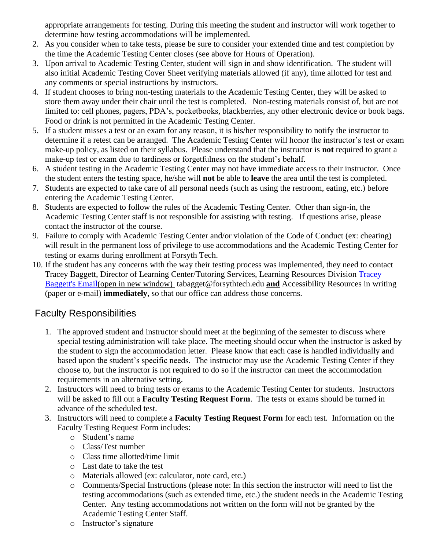appropriate arrangements for testing. During this meeting the student and instructor will work together to determine how testing accommodations will be implemented.

- 2. As you consider when to take tests, please be sure to consider your extended time and test completion by the time the Academic Testing Center closes (see above for Hours of Operation).
- 3. Upon arrival to Academic Testing Center, student will sign in and show identification. The student will also initial Academic Testing Cover Sheet verifying materials allowed (if any), time allotted for test and any comments or special instructions by instructors.
- 4. If student chooses to bring non-testing materials to the Academic Testing Center, they will be asked to store them away under their chair until the test is completed. Non-testing materials consist of, but are not limited to: cell phones, pagers, PDA's, pocketbooks, blackberries, any other electronic device or book bags. Food or drink is not permitted in the Academic Testing Center.
- 5. If a student misses a test or an exam for any reason, it is his/her responsibility to notify the instructor to determine if a retest can be arranged. The Academic Testing Center will honor the instructor's test or exam make-up policy, as listed on their syllabus. Please understand that the instructor is **not** required to grant a make-up test or exam due to tardiness or forgetfulness on the student's behalf.
- 6. A student testing in the Academic Testing Center may not have immediate access to their instructor. Once the student enters the testing space, he/she will **not** be able to **leave** the area until the test is completed.
- 7. Students are expected to take care of all personal needs (such as using the restroom, eating, etc.) before entering the Academic Testing Center.
- 8. Students are expected to follow the rules of the Academic Testing Center. Other than sign-in, the Academic Testing Center staff is not responsible for assisting with testing. If questions arise, please contact the instructor of the course.
- 9. Failure to comply with Academic Testing Center and/or violation of the Code of Conduct (ex: cheating) will result in the permanent loss of privilege to use accommodations and the Academic Testing Center for testing or exams during enrollment at Forsyth Tech.
- 10. If the student has any concerns with the way their testing process was implemented, they need to contact Tracey Baggett, Director of Learning Center/Tutoring Services, Learning Resources Division [Tracey](mailto:tbaggett@forsythtech.edu)  [Baggett's Email\(](mailto:tbaggett@forsythtech.edu)open in new window) tabagget@forsythtech.edu **and** Accessibility Resources in writing (paper or e-mail) **immediately**, so that our office can address those concerns.

## <span id="page-19-0"></span>Faculty Responsibilities

- 1. The approved student and instructor should meet at the beginning of the semester to discuss where special testing administration will take place. The meeting should occur when the instructor is asked by the student to sign the accommodation letter. Please know that each case is handled individually and based upon the student's specific needs. The instructor may use the Academic Testing Center if they choose to, but the instructor is not required to do so if the instructor can meet the accommodation requirements in an alternative setting.
- 2. Instructors will need to bring tests or exams to the Academic Testing Center for students. Instructors will be asked to fill out a **Faculty Testing Request Form**. The tests or exams should be turned in advance of the scheduled test.
- 3. Instructors will need to complete a **Faculty Testing Request Form** for each test. Information on the Faculty Testing Request Form includes:
	- o Student's name
	- o Class/Test number
	- o Class time allotted/time limit
	- o Last date to take the test
	- o Materials allowed (ex: calculator, note card, etc.)
	- o Comments/Special Instructions (please note: In this section the instructor will need to list the testing accommodations (such as extended time, etc.) the student needs in the Academic Testing Center. Any testing accommodations not written on the form will not be granted by the Academic Testing Center Staff.
	- o Instructor's signature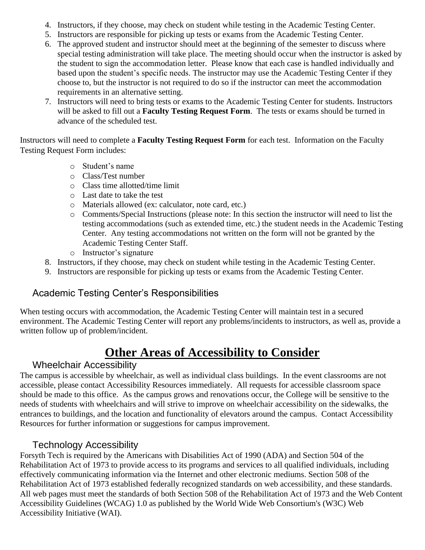- 4. Instructors, if they choose, may check on student while testing in the Academic Testing Center.
- 5. Instructors are responsible for picking up tests or exams from the Academic Testing Center.
- 6. The approved student and instructor should meet at the beginning of the semester to discuss where special testing administration will take place. The meeting should occur when the instructor is asked by the student to sign the accommodation letter. Please know that each case is handled individually and based upon the student's specific needs. The instructor may use the Academic Testing Center if they choose to, but the instructor is not required to do so if the instructor can meet the accommodation requirements in an alternative setting.
- 7. Instructors will need to bring tests or exams to the Academic Testing Center for students. Instructors will be asked to fill out a **Faculty Testing Request Form**. The tests or exams should be turned in advance of the scheduled test.

Instructors will need to complete a **Faculty Testing Request Form** for each test. Information on the Faculty Testing Request Form includes:

- o Student's name
- o Class/Test number
- o Class time allotted/time limit
- o Last date to take the test
- o Materials allowed (ex: calculator, note card, etc.)
- o Comments/Special Instructions (please note: In this section the instructor will need to list the testing accommodations (such as extended time, etc.) the student needs in the Academic Testing Center. Any testing accommodations not written on the form will not be granted by the Academic Testing Center Staff.
- o Instructor's signature
- 8. Instructors, if they choose, may check on student while testing in the Academic Testing Center.
- 9. Instructors are responsible for picking up tests or exams from the Academic Testing Center.

## <span id="page-20-0"></span>Academic Testing Center's Responsibilities

When testing occurs with accommodation, the Academic Testing Center will maintain test in a secured environment. The Academic Testing Center will report any problems/incidents to instructors, as well as, provide a written follow up of problem/incident.

# **Other Areas of Accessibility to Consider**

#### <span id="page-20-1"></span>Wheelchair Accessibility

<span id="page-20-2"></span>The campus is accessible by wheelchair, as well as individual class buildings. In the event classrooms are not accessible, please contact Accessibility Resources immediately. All requests for accessible classroom space should be made to this office. As the campus grows and renovations occur, the College will be sensitive to the needs of students with wheelchairs and will strive to improve on wheelchair accessibility on the sidewalks, the entrances to buildings, and the location and functionality of elevators around the campus. Contact Accessibility Resources for further information or suggestions for campus improvement.

## Technology Accessibility

<span id="page-20-3"></span>Forsyth Tech is required by the Americans with Disabilities Act of 1990 (ADA) and Section 504 of the Rehabilitation Act of 1973 to provide access to its programs and services to all qualified individuals, including effectively communicating information via the Internet and other electronic mediums. Section 508 of the Rehabilitation Act of 1973 established federally recognized standards on web accessibility, and these standards. All web pages must meet the standards of both Section 508 of the Rehabilitation Act of 1973 and the Web Content Accessibility Guidelines (WCAG) 1.0 as published by the World Wide Web Consortium's (W3C) Web Accessibility Initiative (WAI).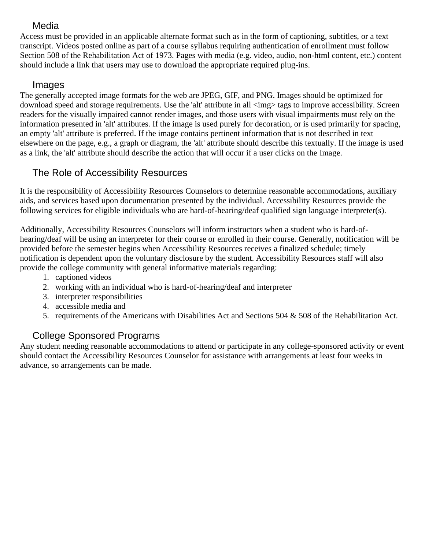#### Media

<span id="page-21-0"></span>Access must be provided in an applicable alternate format such as in the form of captioning, subtitles, or a text transcript. Videos posted online as part of a course syllabus requiring authentication of enrollment must follow Section 508 of the Rehabilitation Act of 1973. Pages with media (e.g. video, audio, non-html content, etc.) content should include a link that users may use to download the appropriate required plug-ins.

#### Images

<span id="page-21-1"></span>The generally accepted image formats for the web are JPEG, GIF, and PNG. Images should be optimized for download speed and storage requirements. Use the 'alt' attribute in all  $\langle \text{img} \rangle$  tags to improve accessibility. Screen readers for the visually impaired cannot render images, and those users with visual impairments must rely on the information presented in 'alt' attributes. If the image is used purely for decoration, or is used primarily for spacing, an empty 'alt' attribute is preferred. If the image contains pertinent information that is not described in text elsewhere on the page, e.g., a graph or diagram, the 'alt' attribute should describe this textually. If the image is used as a link, the 'alt' attribute should describe the action that will occur if a user clicks on the Image.

## <span id="page-21-2"></span>The Role of Accessibility Resources

It is the responsibility of Accessibility Resources Counselors to determine reasonable accommodations, auxiliary aids, and services based upon documentation presented by the individual. Accessibility Resources provide the following services for eligible individuals who are hard-of-hearing/deaf qualified sign language interpreter(s).

Additionally, Accessibility Resources Counselors will inform instructors when a student who is hard-ofhearing/deaf will be using an interpreter for their course or enrolled in their course. Generally, notification will be provided before the semester begins when Accessibility Resources receives a finalized schedule; timely notification is dependent upon the voluntary disclosure by the student. Accessibility Resources staff will also provide the college community with general informative materials regarding:

- 1. captioned videos
- 2. working with an individual who is hard-of-hearing/deaf and interpreter
- 3. interpreter responsibilities
- 4. accessible media and
- 5. requirements of the Americans with Disabilities Act and Sections 504 & 508 of the Rehabilitation Act.

## College Sponsored Programs

<span id="page-21-3"></span>Any student needing reasonable accommodations to attend or participate in any college-sponsored activity or event should contact the Accessibility Resources Counselor for assistance with arrangements at least four weeks in advance, so arrangements can be made.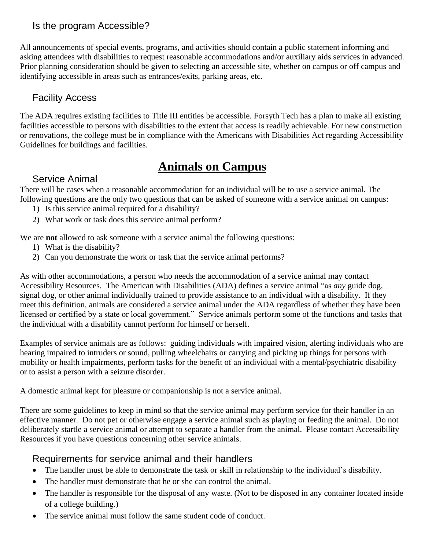#### <span id="page-22-0"></span>Is the program Accessible?

All announcements of special events, programs, and activities should contain a public statement informing and asking attendees with disabilities to request reasonable accommodations and/or auxiliary aids services in advanced. Prior planning consideration should be given to selecting an accessible site, whether on campus or off campus and identifying accessible in areas such as entrances/exits, parking areas, etc.

#### <span id="page-22-1"></span>Facility Access

The ADA requires existing facilities to Title III entities be accessible. Forsyth Tech has a plan to make all existing facilities accessible to persons with disabilities to the extent that access is readily achievable. For new construction or renovations, the college must be in compliance with the Americans with Disabilities Act regarding Accessibility Guidelines for buildings and facilities.

# **Animals on Campus**

#### <span id="page-22-2"></span>Service Animal

<span id="page-22-3"></span>There will be cases when a reasonable accommodation for an individual will be to use a service animal. The following questions are the only two questions that can be asked of someone with a service animal on campus:

- 1) Is this service animal required for a disability?
- 2) What work or task does this service animal perform?

We are **not** allowed to ask someone with a service animal the following questions:

- 1) What is the disability?
- 2) Can you demonstrate the work or task that the service animal performs?

As with other accommodations, a person who needs the accommodation of a service animal may contact Accessibility Resources. The American with Disabilities (ADA) defines a service animal "as *any* guide dog, signal dog, or other animal individually trained to provide assistance to an individual with a disability. If they meet this definition, animals are considered a service animal under the ADA regardless of whether they have been licensed or certified by a state or local government." Service animals perform some of the functions and tasks that the individual with a disability cannot perform for himself or herself.

Examples of service animals are as follows: guiding individuals with impaired vision, alerting individuals who are hearing impaired to intruders or sound, pulling wheelchairs or carrying and picking up things for persons with mobility or health impairments, perform tasks for the benefit of an individual with a mental/psychiatric disability or to assist a person with a seizure disorder.

A domestic animal kept for pleasure or companionship is not a service animal.

There are some guidelines to keep in mind so that the service animal may perform service for their handler in an effective manner. Do not pet or otherwise engage a service animal such as playing or feeding the animal. Do not deliberately startle a service animal or attempt to separate a handler from the animal. Please contact Accessibility Resources if you have questions concerning other service animals.

#### <span id="page-22-4"></span>Requirements for service animal and their handlers

- The handler must be able to demonstrate the task or skill in relationship to the individual's disability.
- The handler must demonstrate that he or she can control the animal.
- The handler is responsible for the disposal of any waste. (Not to be disposed in any container located inside of a college building.)
- The service animal must follow the same student code of conduct.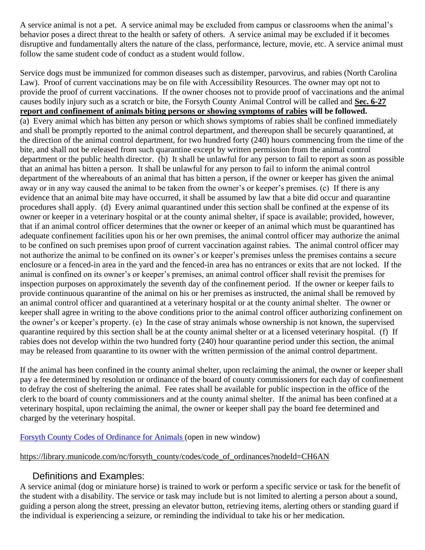A service animal is not a pet. A service animal may be excluded from campus or classrooms when the animal's behavior poses a direct threat to the health or safety of others. A service animal may be excluded if it becomes disruptive and fundamentally alters the nature of the class, performance, lecture, movie, etc. A service animal must follow the same student code of conduct as a student would follow.

Service dogs must be immunized for common diseases such as distemper, parvovirus, and rabies (North Carolina Law). Proof of current vaccinations may be on file with Accessibility Resources. The owner may opt not to provide the proof of current vaccinations. If the owner chooses not to provide proof of vaccinations and the animal causes bodily injury such as a scratch or bite, the Forsyth County Animal Control will be called and **Sec. 6-27 report and confinement of animals biting persons or showing symptoms of rabies will be followed.** (a) Every animal which has bitten any person or which shows symptoms of rabies shall be confined immediately and shall be promptly reported to the animal control department, and thereupon shall be securely quarantined, at the direction of the animal control department, for two hundred forty (240) hours commencing from the time of the bite, and shall not be released from such quarantine except by written permission from the animal control department or the public health director. (b) It shall be unlawful for any person to fail to report as soon as possible that an animal has bitten a person. It shall be unlawful for any person to fail to inform the animal control department of the whereabouts of an animal that has bitten a person, if the owner or keeper has given the animal away or in any way caused the animal to be taken from the owner's or keeper's premises. (c) If there is any evidence that an animal bite may have occurred, it shall be assumed by law that a bite did occur and quarantine procedures shall apply. (d) Every animal quarantined under this section shall be confined at the expense of its owner or keeper in a veterinary hospital or at the county animal shelter, if space is available; provided, however, that if an animal control officer determines that the owner or keeper of an animal which must be quarantined has adequate confinement facilities upon his or her own premises, the animal control officer may authorize the animal to be confined on such premises upon proof of current vaccination against rabies. The animal control officer may not authorize the animal to be confined on its owner's or keeper's premises unless the premises contains a secure enclosure or a fenced-in area in the yard and the fenced-in area has no entrances or exits that are not locked. If the animal is confined on its owner's or keeper's premises, an animal control officer shall revisit the premises for inspection purposes on approximately the seventh day of the confinement period. If the owner or keeper fails to provide continuous quarantine of the animal on his or her premises as instructed, the animal shall be removed by an animal control officer and quarantined at a veterinary hospital or at the county animal shelter. The owner or keeper shall agree in writing to the above conditions prior to the animal control officer authorizing confinement on the owner's or keeper's property. (e) In the case of stray animals whose ownership is not known, the supervised quarantine required by this section shall be at the county animal shelter or at a licensed veterinary hospital. (f) If rabies does not develop within the two hundred forty (240) hour quarantine period under this section, the animal may be released from quarantine to its owner with the written permission of the animal control department.

If the animal has been confined in the county animal shelter, upon reclaiming the animal, the owner or keeper shall pay a fee determined by resolution or ordinance of the board of county commissioners for each day of confinement to defray the cost of sheltering the animal. Fee rates shall be available for public inspection in the office of the clerk to the board of county commissioners and at the county animal shelter. If the animal has been confined at a veterinary hospital, upon reclaiming the animal, the owner or keeper shall pay the board fee determined and charged by the veterinary hospital.

[Forsyth County Codes of Ordinance for Animals](http://library.municode.com/index.aspx?clientId=10707) (open in new window)

[https://library.municode.com/nc/forsyth\\_county/codes/code\\_of\\_ordinances?nodeId=CH6AN](https://library.municode.com/nc/forsyth_county/codes/code_of_ordinances?nodeId=CH6AN)

#### Definitions and Examples:

<span id="page-23-0"></span>A service animal (dog or miniature horse) is trained to work or perform a specific service or task for the benefit of the student with a disability. The service or task may include but is not limited to alerting a person about a sound, guiding a person along the street, pressing an elevator button, retrieving items, alerting others or standing guard if the individual is experiencing a seizure, or reminding the individual to take his or her medication.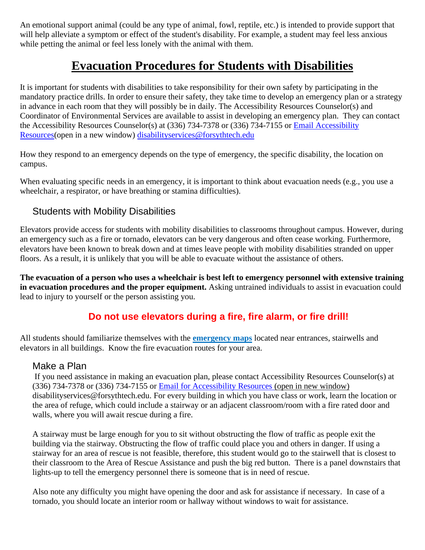An emotional support animal (could be any type of animal, fowl, reptile, etc.) is intended to provide support that will help alleviate a symptom or effect of the student's disability. For example, a student may feel less anxious while petting the animal or feel less lonely with the animal with them.

# **Evacuation Procedures for Students with Disabilities**

<span id="page-24-0"></span>It is important for students with disabilities to take responsibility for their own safety by participating in the mandatory practice drills. In order to ensure their safety, they take time to develop an emergency plan or a strategy in advance in each room that they will possibly be in daily. The Accessibility Resources Counselor(s) and Coordinator of Environmental Services are available to assist in developing an emergency plan. They can contact the Accessibility Resources Counselor(s) at (336) 734-7378 or (336) 734-7155 or [Email Accessibility](mailto:Email%20Disability%20Services)  [Resources\(](mailto:Email%20Disability%20Services)open in a new window) [disabilityservices@forsythtech.edu](mailto:disabilityservices@forsythtech.edu)

How they respond to an emergency depends on the type of emergency, the specific disability, the location on campus.

When evaluating specific needs in an emergency, it is important to think about evacuation needs (e.g., you use a wheelchair, a respirator, or have breathing or stamina difficulties).

#### <span id="page-24-1"></span>Students with Mobility Disabilities

Elevators provide access for students with mobility disabilities to classrooms throughout campus. However, during an emergency such as a fire or tornado, elevators can be very dangerous and often cease working. Furthermore, elevators have been known to break down and at times leave people with mobility disabilities stranded on upper floors. As a result, it is unlikely that you will be able to evacuate without the assistance of others.

**The evacuation of a person who uses a wheelchair is best left to emergency personnel with extensive training in evacuation procedures and the proper equipment.** Asking untrained individuals to assist in evacuation could lead to injury to yourself or the person assisting you.

## **Do not use elevators during a fire, fire alarm, or fire drill!**

All students should familiarize themselves with the **emergency maps** located near entrances, stairwells and elevators in all buildings. Know the fire evacuation routes for your area.

#### <span id="page-24-2"></span>Make a Plan

If you need assistance in making an evacuation plan, please contact Accessibility Resources Counselor(s) at (336) 734-7378 or (336) 734-7155 or [Email for Accessibility Resources](mailto:disabilityservices@forsythtech.edu) (open in new window) disabilityservices@forsythtech.edu. For every building in which you have class or work, learn the location or the area of refuge, which could include a stairway or an adjacent classroom/room with a fire rated door and walls, where you will await rescue during a fire.

A stairway must be large enough for you to sit without obstructing the flow of traffic as people exit the building via the stairway. Obstructing the flow of traffic could place you and others in danger. If using a stairway for an area of rescue is not feasible, therefore, this student would go to the stairwell that is closest to their classroom to the Area of Rescue Assistance and push the big red button. There is a panel downstairs that lights-up to tell the emergency personnel there is someone that is in need of rescue.

Also note any difficulty you might have opening the door and ask for assistance if necessary. In case of a tornado, you should locate an interior room or hallway without windows to wait for assistance.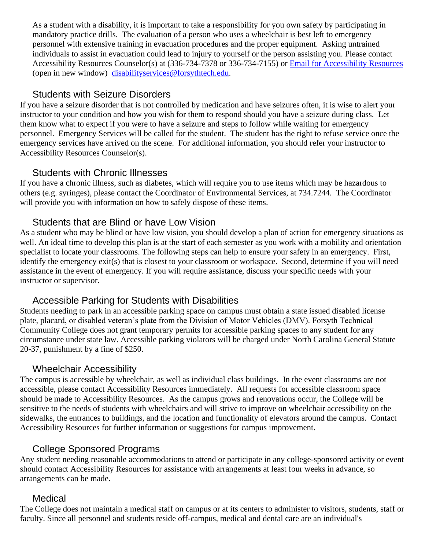As a student with a disability, it is important to take a responsibility for you own safety by participating in mandatory practice drills. The evaluation of a person who uses a wheelchair is best left to emergency personnel with extensive training in evacuation procedures and the proper equipment. Asking untrained individuals to assist in evacuation could lead to injury to yourself or the person assisting you. Please contact Accessibility Resources Counselor(s) at (336-734-7378 or 336-734-7155) or [Email for Accessibility Resources](mailto:Email%20for%20Disability%20Services) (open in new window) [disabilityservices@forsythtech.edu.](mailto:disabilityservices@forsythtech.edu)

#### Students with Seizure Disorders

<span id="page-25-0"></span>If you have a seizure disorder that is not controlled by medication and have seizures often, it is wise to alert your instructor to your condition and how you wish for them to respond should you have a seizure during class. Let them know what to expect if you were to have a seizure and steps to follow while waiting for emergency personnel. Emergency Services will be called for the student. The student has the right to refuse service once the emergency services have arrived on the scene. For additional information, you should refer your instructor to Accessibility Resources Counselor(s).

#### Students with Chronic Illnesses

<span id="page-25-1"></span>If you have a chronic illness, such as diabetes, which will require you to use items which may be hazardous to others (e.g. syringes), please contact the Coordinator of Environmental Services, at 734.7244. The Coordinator will provide you with information on how to safely dispose of these items.

#### Students that are Blind or have Low Vision

<span id="page-25-2"></span>As a student who may be blind or have low vision, you should develop a plan of action for emergency situations as well. An ideal time to develop this plan is at the start of each semester as you work with a mobility and orientation specialist to locate your classrooms. The following steps can help to ensure your safety in an emergency. First, identify the emergency exit(s) that is closest to your classroom or workspace. Second, determine if you will need assistance in the event of emergency. If you will require assistance, discuss your specific needs with your instructor or supervisor.

## Accessible Parking for Students with Disabilities

<span id="page-25-3"></span>Students needing to park in an accessible parking space on campus must obtain a state issued disabled license plate, placard, or disabled veteran's plate from the Division of Motor Vehicles (DMV). Forsyth Technical Community College does not grant temporary permits for accessible parking spaces to any student for any circumstance under state law. Accessible parking violators will be charged under North Carolina General Statute 20-37, punishment by a fine of \$250.

#### Wheelchair Accessibility

<span id="page-25-4"></span>The campus is accessible by wheelchair, as well as individual class buildings. In the event classrooms are not accessible, please contact Accessibility Resources immediately. All requests for accessible classroom space should be made to Accessibility Resources. As the campus grows and renovations occur, the College will be sensitive to the needs of students with wheelchairs and will strive to improve on wheelchair accessibility on the sidewalks, the entrances to buildings, and the location and functionality of elevators around the campus. Contact Accessibility Resources for further information or suggestions for campus improvement.

## College Sponsored Programs

<span id="page-25-5"></span>Any student needing reasonable accommodations to attend or participate in any college-sponsored activity or event should contact Accessibility Resources for assistance with arrangements at least four weeks in advance, so arrangements can be made.

#### Medical

<span id="page-25-6"></span>The College does not maintain a medical staff on campus or at its centers to administer to visitors, students, staff or faculty. Since all personnel and students reside off-campus, medical and dental care are an individual's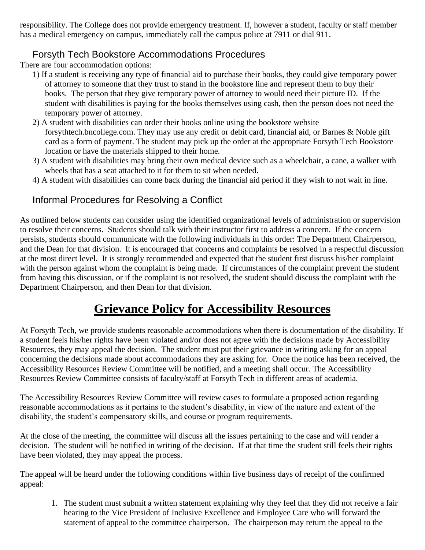responsibility. The College does not provide emergency treatment. If, however a student, faculty or staff member has a medical emergency on campus, immediately call the campus police at 7911 or dial 911.

# Forsyth Tech Bookstore Accommodations Procedures

<span id="page-26-0"></span>There are four accommodation options:

- 1) If a student is receiving any type of financial aid to purchase their books, they could give temporary power of attorney to someone that they trust to stand in the bookstore line and represent them to buy their books. The person that they give temporary power of attorney to would need their picture ID. If the student with disabilities is paying for the books themselves using cash, then the person does not need the temporary power of attorney.
- 2) A student with disabilities can order their books online using the bookstore website forsythtech.bncollege.com. They may use any credit or debit card, financial aid, or Barnes & Noble gift card as a form of payment. The student may pick up the order at the appropriate Forsyth Tech Bookstore location or have the materials shipped to their home.
- 3) A student with disabilities may bring their own medical device such as a wheelchair, a cane, a walker with wheels that has a seat attached to it for them to sit when needed.
- 4) A student with disabilities can come back during the financial aid period if they wish to not wait in line.

# <span id="page-26-1"></span>Informal Procedures for Resolving a Conflict

As outlined below students can consider using the identified organizational levels of administration or supervision to resolve their concerns. Students should talk with their instructor first to address a concern. If the concern persists, students should communicate with the following individuals in this order: The Department Chairperson, and the Dean for that division. It is encouraged that concerns and complaints be resolved in a respectful discussion at the most direct level. It is strongly recommended and expected that the student first discuss his/her complaint with the person against whom the complaint is being made. If circumstances of the complaint prevent the student from having this discussion, or if the complaint is not resolved, the student should discuss the complaint with the Department Chairperson, and then Dean for that division.

# **Grievance Policy for Accessibility Resources**

<span id="page-26-2"></span>At Forsyth Tech, we provide students reasonable accommodations when there is documentation of the disability. If a student feels his/her rights have been violated and/or does not agree with the decisions made by Accessibility Resources, they may appeal the decision. The student must put their grievance in writing asking for an appeal concerning the decisions made about accommodations they are asking for. Once the notice has been received, the Accessibility Resources Review Committee will be notified, and a meeting shall occur. The Accessibility Resources Review Committee consists of faculty/staff at Forsyth Tech in different areas of academia.

The Accessibility Resources Review Committee will review cases to formulate a proposed action regarding reasonable accommodations as it pertains to the student's disability, in view of the nature and extent of the disability, the student's compensatory skills, and course or program requirements.

At the close of the meeting, the committee will discuss all the issues pertaining to the case and will render a decision. The student will be notified in writing of the decision. If at that time the student still feels their rights have been violated, they may appeal the process.

The appeal will be heard under the following conditions within five business days of receipt of the confirmed appeal:

1. The student must submit a written statement explaining why they feel that they did not receive a fair hearing to the Vice President of Inclusive Excellence and Employee Care who will forward the statement of appeal to the committee chairperson. The chairperson may return the appeal to the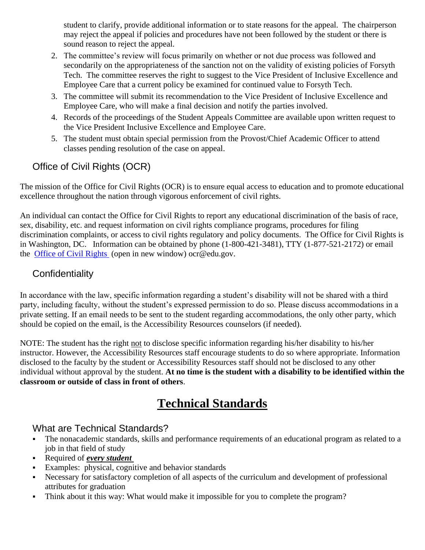student to clarify, provide additional information or to state reasons for the appeal. The chairperson may reject the appeal if policies and procedures have not been followed by the student or there is sound reason to reject the appeal.

- 2. The committee's review will focus primarily on whether or not due process was followed and secondarily on the appropriateness of the sanction not on the validity of existing policies of Forsyth Tech. The committee reserves the right to suggest to the Vice President of Inclusive Excellence and Employee Care that a current policy be examined for continued value to Forsyth Tech.
- 3. The committee will submit its recommendation to the Vice President of Inclusive Excellence and Employee Care, who will make a final decision and notify the parties involved.
- 4. Records of the proceedings of the Student Appeals Committee are available upon written request to the Vice President Inclusive Excellence and Employee Care.
- 5. The student must obtain special permission from the Provost/Chief Academic Officer to attend classes pending resolution of the case on appeal.

# <span id="page-27-0"></span>Office of Civil Rights (OCR)

The mission of the Office for Civil Rights (OCR) is to ensure equal access to education and to promote educational excellence throughout the nation through vigorous enforcement of civil rights.

An individual can contact the Office for Civil Rights to report any educational discrimination of the basis of race, sex, disability, etc. and request information on civil rights compliance programs, procedures for filing discrimination complaints, or access to civil rights regulatory and policy documents. The Office for Civil Rights is in Washington, DC. Information can be obtained by phone (1-800-421-3481), TTY (1-877-521-2172) or email the [Office of Civil Rights](mailto:ocr@ed.gov) (open in new window) ocr@edu.gov.

#### <span id="page-27-1"></span>**Confidentiality**

In accordance with the law, specific information regarding a student's disability will not be shared with a third party, including faculty, without the student's expressed permission to do so. Please discuss accommodations in a private setting. If an email needs to be sent to the student regarding accommodations, the only other party, which should be copied on the email, is the Accessibility Resources counselors (if needed).

NOTE: The student has the right not to disclose specific information regarding his/her disability to his/her instructor. However, the Accessibility Resources staff encourage students to do so where appropriate. Information disclosed to the faculty by the student or Accessibility Resources staff should not be disclosed to any other individual without approval by the student. **At no time is the student with a disability to be identified within the classroom or outside of class in front of others**.

# **Technical Standards**

#### <span id="page-27-3"></span><span id="page-27-2"></span>What are Technical Standards?

- The nonacademic standards, skills and performance requirements of an educational program as related to a job in that field of study
- Required of *every student*
- Examples: physical, cognitive and behavior standards
- Necessary for satisfactory completion of all aspects of the curriculum and development of professional attributes for graduation
- Think about it this way: What would make it impossible for you to complete the program?